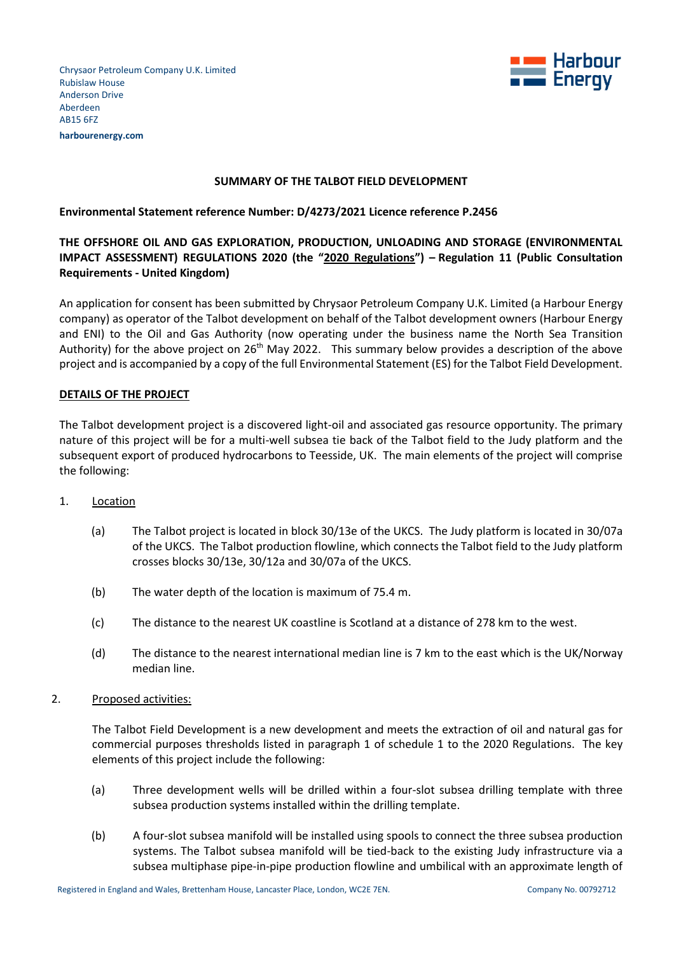Chrysaor Petroleum Company U.K. Limited Rubislaw House Anderson Drive Aberdeen AB15 6FZ **harbourenergy.com**



## **SUMMARY OF THE TALBOT FIELD DEVELOPMENT**

## **Environmental Statement reference Number: D/4273/2021 Licence reference P.2456**

# **THE OFFSHORE OIL AND GAS EXPLORATION, PRODUCTION, UNLOADING AND STORAGE (ENVIRONMENTAL IMPACT ASSESSMENT) REGULATIONS 2020 (the "2020 Regulations") – Regulation 11 (Public Consultation Requirements - United Kingdom)**

An application for consent has been submitted by Chrysaor Petroleum Company U.K. Limited (a Harbour Energy company) as operator of the Talbot development on behalf of the Talbot development owners (Harbour Energy and ENI) to the Oil and Gas Authority (now operating under the business name the North Sea Transition Authority) for the above project on 26<sup>th</sup> May 2022. This summary below provides a description of the above project and is accompanied by a copy of the full Environmental Statement (ES) for the Talbot Field Development.

## **DETAILS OF THE PROJECT**

The Talbot development project is a discovered light-oil and associated gas resource opportunity. The primary nature of this project will be for a multi-well subsea tie back of the Talbot field to the Judy platform and the subsequent export of produced hydrocarbons to Teesside, UK. The main elements of the project will comprise the following:

- 1. Location
	- (a) The Talbot project is located in block 30/13e of the UKCS. The Judy platform is located in 30/07a of the UKCS. The Talbot production flowline, which connects the Talbot field to the Judy platform crosses blocks 30/13e, 30/12a and 30/07a of the UKCS.
	- (b) The water depth of the location is maximum of 75.4 m.
	- (c) The distance to the nearest UK coastline is Scotland at a distance of 278 km to the west.
	- (d) The distance to the nearest international median line is 7 km to the east which is the UK/Norway median line.
- 2. Proposed activities:

The Talbot Field Development is a new development and meets the extraction of oil and natural gas for commercial purposes thresholds listed in paragraph 1 of schedule 1 to the 2020 Regulations. The key elements of this project include the following:

- (a) Three development wells will be drilled within a four-slot subsea drilling template with three subsea production systems installed within the drilling template.
- (b) A four-slot subsea manifold will be installed using spools to connect the three subsea production systems. The Talbot subsea manifold will be tied-back to the existing Judy infrastructure via a subsea multiphase pipe-in-pipe production flowline and umbilical with an approximate length of